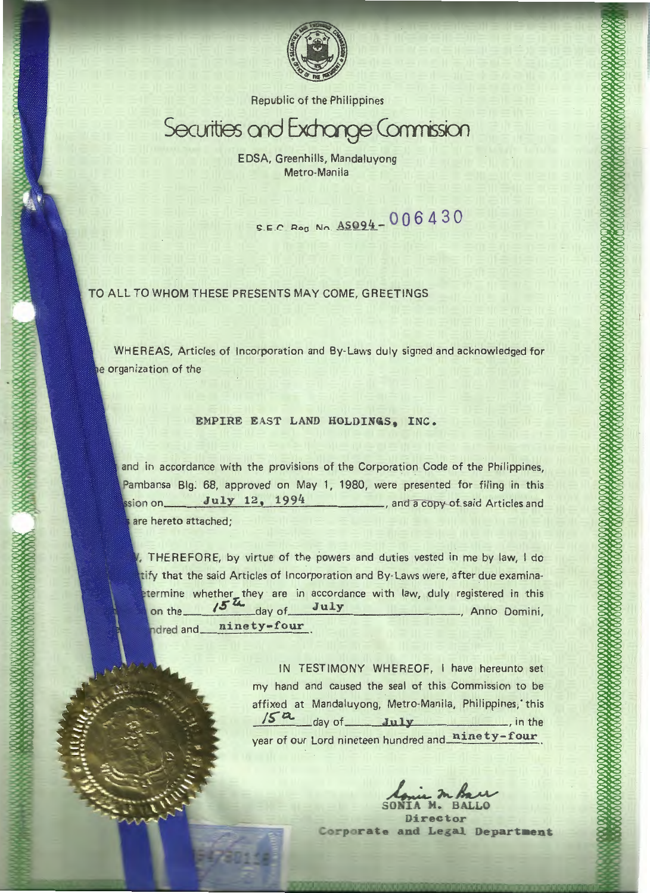

Republic of the Philippines

# Securities and Exchange Commission

EDSA, Greenhills, Mandaluyong Metro-Maniia

S.E.C. Reg No.  $A5094 - 006430$ 

TO ALL TO WHOM THESE PRESENTS MAY COME, GREETINGS

WHEREAS, Articles of Incorporation and By-laws duly signed and acknowledged for e organization of the

# EMPIRE EAST LAND HOLDINQS, INC.

and in accordance with the provisions of the Corporation Code of the Philippines, Pambansa Big. 68, approved on May 1, 1980, were presented for filing in this July 12, 1994 , and a copy-of-said Articles and ssion on\_ are hereto attached;

, THEREFORE, by virtue of the powers and duties vested in me by law, I do tify that the said Articles of Incorporation and By-Laws were, after due examinaetermine whether they are in accordance with law, duly registered in this on the  $15^{24}$  day of July , Anno Domini, ninety-four ndred and\_

> IN TESTIMONY WHEREOF, I have hereunto set my hand and caused the seal of this Commission to be affixed at Mandaluyong, Metro-Manila, Philippines, this *IS"* day of July in the year of our Lord nineteen hundred and ninety-four

Director Corporate and Legal Department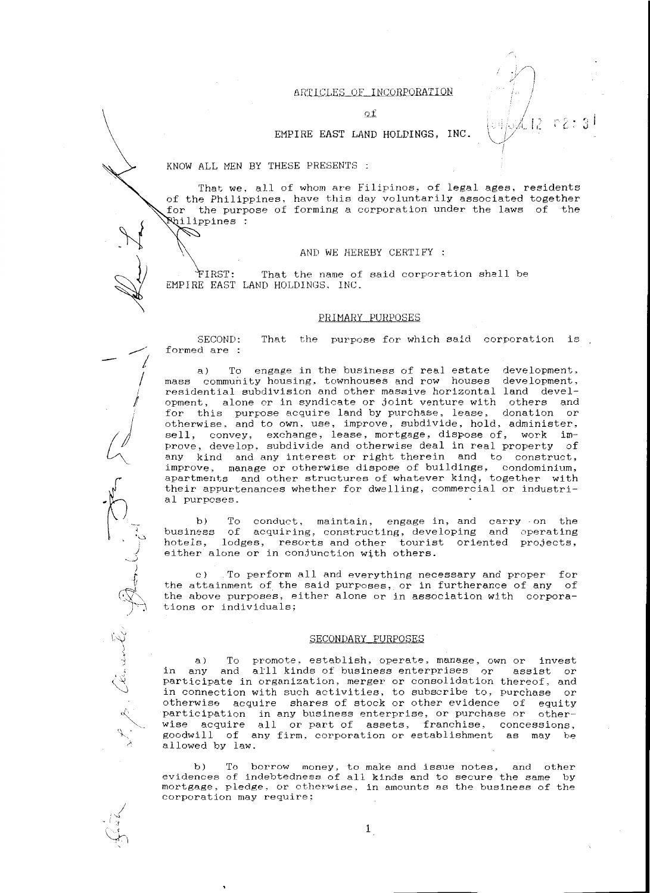# ARTICLES OF INCORPORATION

12 r2:3

of

## EMPIRE EAST LAND HOLDINGS, INC.

KNOW ALL MEN BY THESE PRESENTS :

<sup>~</sup>

Ø

~

\_\_., l I j

*d* 

 $\sum_{i=1}^{n}$ . "-...\  $\frac{1}{2}$ )  $\overline{\mathbb{R}}^{\mathcal{F}}$  $"$  $\mathcal{L}$ 

 $\zeta^\vee$  .

;

! S *:!*   $\overrightarrow{C_1^2}$ 

That we, all of whom are Filipinos, of legal ages, residents of the Philippines, have this day voluntarily associated together for the purpose of forming a corporation under the laws of the ilippines :

#### AND WE HEREBY CERTIFY :

IRST: That the name of said corporation shall be EMPIRE EAST LAND HOLDINGS, INC.

#### PRIMARY PURPOSES

:3ECOND: formed are : That the purpose for which said corporation is

a) To engage in the business of real estate development, mass community housing, townhouses and row houses development, residential subdivision and other massive horizontal land development, alone or in syndicate or joint venture with others and for this purpose acquire land by purchase, lease, donation or otherwise, and to own, use, improve, subdivide, hold, administer, sell, convey, exchange, lease, mortgage, dispose of, work improve, develop, subdivide and otherwise deal in real property of any kind and any interest or right therein and to construct, improve, manage or otherwise dispose of buildings, condominium, apartments and other structures of whatever kind, together with their appurtenances whether for dwelling, commercial or industrial purposes.

b) To conduct, maintain, engage in, and carry on the business of acquiring, constructing, developing and operating hotels, lodges, resorts and other tourist oriented projects, either alone or in conjunction with others.

c) To perform all and everything necessary and proper for the attainment of the said purposes, or in furtherance of any of the above purposes, either alone or in association with corporations or individuals;

#### SECONDARY PURPOSES

a) To promote, establish, operate, manage, own or invest in any and alll kinds of business enterprises or assist or participate in organization, merger or consolidation thereof, and in connection with such activities, to subscribe to, purchase or otherwise acquire shares of stock or other evidence of equity participation in any business enterprise, or purchase or otherwise acquire all or part of assets, franchise, concessions, goodwill of any firm, corporation or establishment as may be allowed by law.

b) To borrow money, to make and issue notes, and other evidences of indebtedness of all kinds and to secure the same by mortgage, pledge, or otherwise, in amounts as the business of the corporation may require;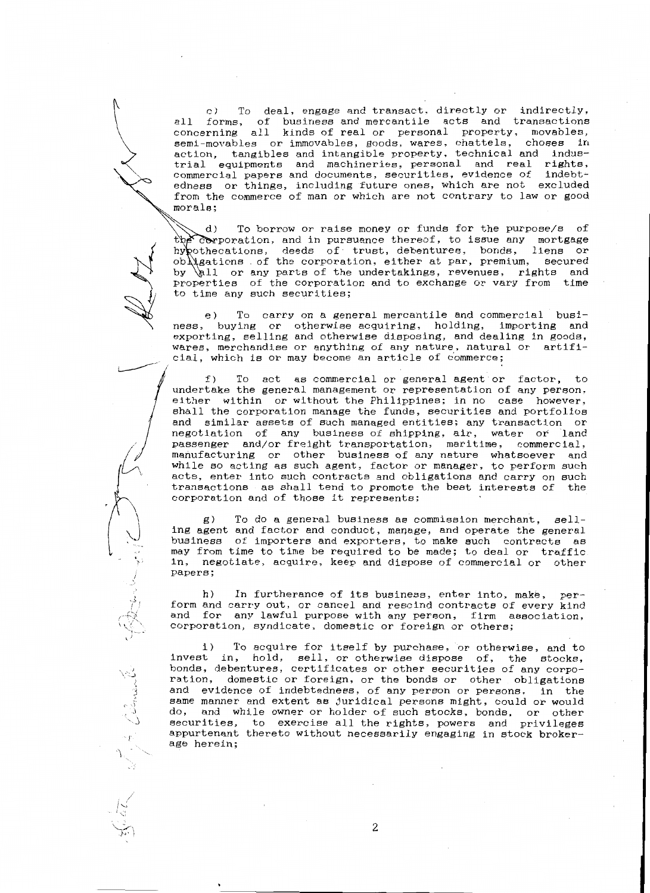c) To deal, engage and transact, directly or indirectly, all forms, of business and mercantile acts and transactions concerning all kinds of real or personal property, movables, semi-movables or immovables, goods, wares, chattels, chases in action, tangibles and intangible property, technical and industrial equipments and machineries, personal and real rights, commercial papers and documents, securities, evidence of indebtedness or things, including future ones, which are not excluded from the commerce of man or which are not contrary to law or good morals;

To borrow or raise money or funds for the purpose/s of d) the corporation, and in pursuance thereof, to issue any mortgage hy pothecations, deeds of trust, debentures, bonds, liens or  $ob$ )  $g$ ations of the corporation, either at par, premium, secured 11 or any parts of the undertakings, revenues, rights and by properties of the corporation and to exchange or vary from time to time any such securities;

e) To carry on a general mercantile and commercial business, buying or otherwise acquiring, holding, importing and exporting, selling and otherwise disposing, and dealing in goods, wares, merchandise or anything of any nature, natural or artifi cial, which is or may become an article of commerce;

~· ' ------ ' <sup>J</sup>

*l:,* 

-rj

 $\int$ 

 $\sim$ 

\.-~ *!* 

f) To act as commercial or general agent or factor, to undertake the general management or representation of any person, either within or without the Philippines; in no case however, shall the corporation manage the funds, securities and portfolios and similar assets of such managed entities; any transaction or negotiation of any business of shipping, air, water or land passenger and/or freight transportation, maritime, commercial, manufacturing or other business of any nature whatsoever and while so acting as such agent, factor or manager, to perform such acts, enter into such contracts and obligations and carry on such transactions as shall tend to promote the best interests of corporation and of those it represents;

g) To do a general business as commission merchant, selling agent and factor and conduct, manage, and operate the general business of importers and exporters, to make such contracts as may from time to time be required to be made; to deal or traffic in, negotiate, acquire, keep and dispose of commercial or other papers;

h) In furtherance of its business, enter into, make, perform and carry out, or cancel and rescind contracts of every kind and for any lawful purpose with any person, firm association, corporation, syndicate, domestic or foreign or others;

i) To acquire for itself by purchase, or otherwise, and to invest in, hold, sell, or otherwise dispose of, the stocks, bonds, debentures, certificates or other securities of any corporation, domestic or foreign, or the bonds or other obligations and evidence of indebtedness, of any person or persons, in the same manner and extent as juridical persons might, could or would<br>do, and while owner or holder of such stocks, bonds, or other securities, to exercise all the rights, powers and privileges appurtenant thereto without necessarily engaging in stock brokerage herein;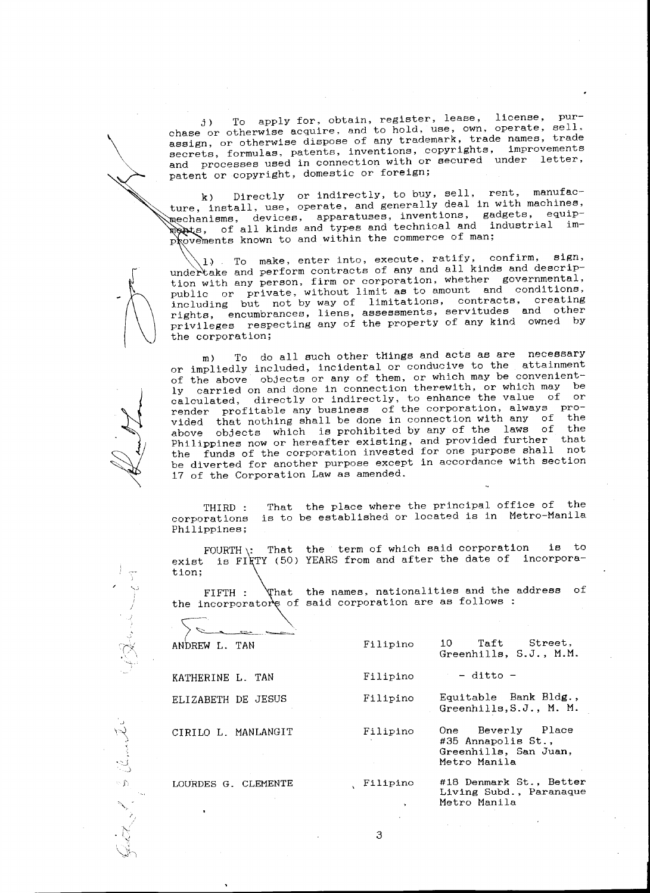j) To apply for, obtain, register, lease, license, purchase or otherwise acquire, and to hold, use, own, operate, sell, assign, or otherwise dispose of any trademark, trade names, trade secrets, formulas, patents, inventions, copyrights, improvements and processes used in connection with or secured under letter, patent or copyright, domestic or foreign;

 $\diagdown$ 

*!* 

 $\overline{\mathbf{C}}$ 

,)  $\sim$   $\sim$ Y, ".J j J',

> ~,,, *I'*

k) Directly or indirectly, to buy, sell, rent, manufacture, install, use, operate, and generally deal in with machines, devices, apparatuses, inventions, gadgets, equipall kinds and types and technical and industrial improvements known to and within the commerce of man;

To make, enter into, execute, ratify, confirm, sign,  $1.3 \times$ undertake and perform contracts of any and all kinds and description with any person, firm or corporation, whether governmental, public or private, without limit as to amount and conditions, including but not by way of limitations, contracts, creating rights, encumbrances, liens, assessments, servitudes and other privileges respecting any of the property of any kind owned by the corporation;

 $\sqrt{10}$ m) To do all such other tHings and acts as are necessary or impliedly included, incidental or conducive to the attainment of the above objects or any of them, or which may be conveniently carried on and done in connection therewith, or which may be calculated, directly or indirectly, to enhance the value of or render profitable any business of the corporation, always prorender profitable any business of the connection with any of the<br>vided that nothing shall be done in connection with any of the<br>physical chiests which is probibited by any of the laws of the above objects which is prohibited by any of the laws of the  $\frac{1}{2}$ Philippines now or hereafter existing, and provided further the funds of the corporation invested for one purpose shall not be diverted for another purpose except in accordance with section 17 of the Corporation Law as amended.

> THIRD : corporations Philippines; That the place where the principal office of the is to be established or located is in Metro-Manila

> FOURTH\: That the term of which said corporation is to exist is FIRTY (50) YEARS from and after the date of incorporation;

FIFTH: the incorporatore of said corporation are as follows: the names, nationalities and the address of

| ANDREW L. TAN       | Filipino                  | Taft Street,<br>10<br>Greenhills, S.J., M.M.                                     |
|---------------------|---------------------------|----------------------------------------------------------------------------------|
| KATHERINE L. TAN    | Filipino                  | - ditto -                                                                        |
| ELIZABETH DE JESUS  | Filipino                  | Equitable Bank Bldg.,<br>Greenhills, S.J., M. M.                                 |
| CIRILO L. MANLANGIT | Filipino                  | One Beverly Place<br>#35 Annapolis St.,<br>Greenhills, San Juan,<br>Metro Manila |
| LOURDES G. CLEMENTE | Filipino<br>$\rightarrow$ | #18 Denmark St., Better<br>Living Subd., Paranaque<br>Metro Manila               |

3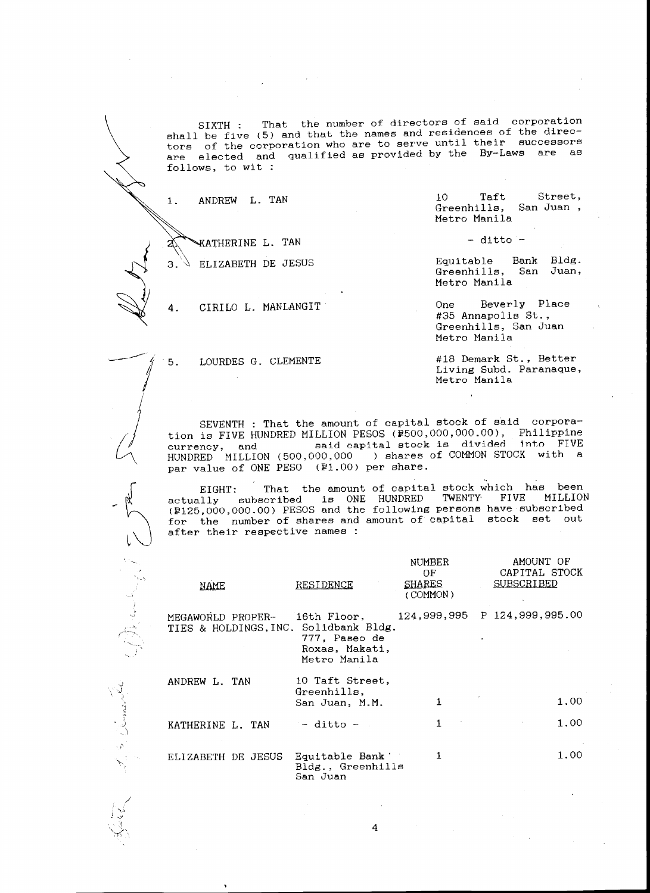SIXTH : That the number of directors of said corporation shall be five (5) and that the names and residences of the directors of the corporation who are to serve until their successors are elected and qualified as provided by the By-Laws are as follows, to wit :

1. ANDREW L. TAN

**AN WATHERINE L. TAN** 

 $3.$  ELIZABETH DE JESUS

 $\rightarrow$  4. 4. CIRILO L. MANLANGIT

5. LOURDES G. CLEMENTE

10 Taft Greenhills, San Juan , Metro Manila Street,

- ditto -

Equitable Bank Bldg. Greenhills, San Juan, Metro Manila

One Beverly Place #35 Annapolis St., Greenhills, San Juan Metro Manila

#18 Demark St., Better Living Subd. Paranaque, Metro Manila

 $\begin{picture}(120,110) \put(100,110){\makebox(0,0){$L$}} \put(100,110){\makebox(0,0){$L$}} \put(100,110){\makebox(0,0){$L$}} \put(100,110){\makebox(0,0){$L$}} \put(100,110){\makebox(0,0){$L$}} \put(100,110){\makebox(0,0){$L$}} \put(100,110){\makebox(0,0){$L$}} \put(100,110){\makebox(0,0){$L$}} \put(100,110){\makebox(0,0){$L$}}$ SEVENTH : That the amount of capital stock of said corporation is FIVE HUNDRED MILLION PESOS (@500,000,000.00), Philippine currency, and said capital stock is divided into FIVE currency, and said capital stock is divided into FIVE<br>HUNDRED MILLION (500,000,000 ) shares of COMMON STOCK with a par value of ONE PESO (P1.00) per share.

EIGHT:  $\,$  That the amount of capital stock which has been actually subscribed is ONE HUNDRED TWENTY FIVE MILLION (P125,000,000.00) PESOS and the following persons have subscribed for the number of shares and amount of capital stock set out after their respective names :

| NAME               | RESIDENCE                                                                                               | NUMBER<br>OF.<br>SHARES<br>(COMMON) | AMOUNT OF<br>CAPITAL STOCK<br><b>SUBSCRIBED</b> |
|--------------------|---------------------------------------------------------------------------------------------------------|-------------------------------------|-------------------------------------------------|
| MEGAWORLD PROPER-  | 16th Floor,<br>TIES & HOLDINGS, INC. Solidbank Bldg.<br>777, Paseo de<br>Roxas. Makati,<br>Metro Manila | 124,999,995 P 124,999,995.00        |                                                 |
| ANDREW L. TAN      | 10 Taft Street,<br>Greenhills,<br>San Juan, M.M.                                                        |                                     | 1.00                                            |
| KATHERINE L. TAN   | $-$ ditto $-$                                                                                           | $\mathbf{1}$<br>$\sim 10^{-10}$     | 1.00                                            |
| ELIZABETH DE JESUS | Equitable Bank '<br>Bldg., Greenhills<br>San Juan                                                       | 1.                                  | 1.00                                            |



 $\sim$   $\lambda$ 

 $\tilde{\phantom{0}}$ 

-~,

 $\sqrt{2}$ 



/  $\sim$  $J_{\rm{tot}}$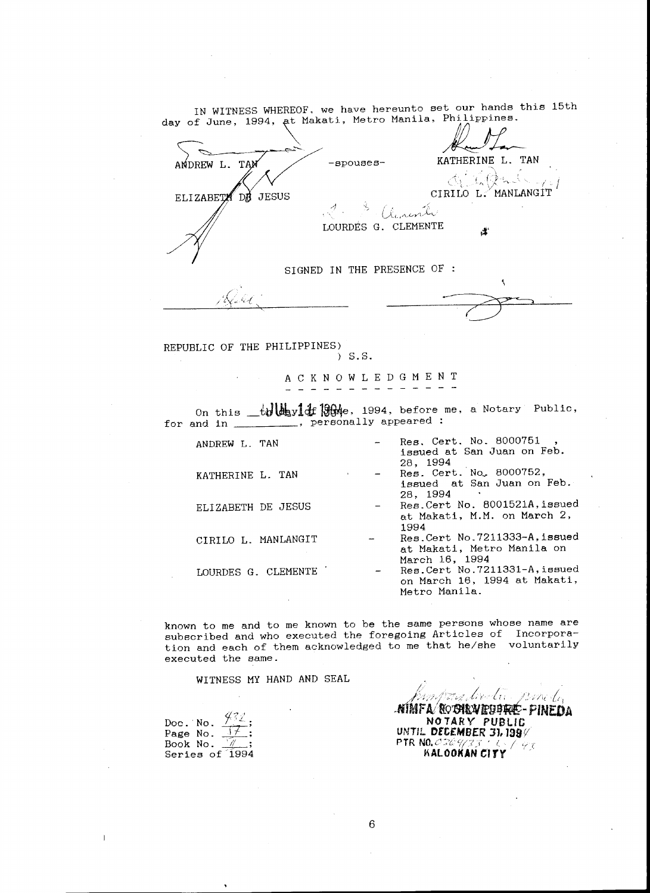IN WITNESS WHEREOF. we have hereunto set our hands this 15th day of June, 1994, at Makati, Metro Manila, Philippines.

ANDREW L. TAM -spouses- KATHERINE L. TAN  $\alpha_1$  ,  $\alpha_2$ CIRILO L. MANLANGIT ELIZABETA DE JESUS *1.* 5 *(lenente* LOURDES G. CLEMENTE SIGNED IN THE PRESENCE OF :  $\sqrt{2\sqrt{2\pi}}$ -~

REPUBLIC OF THE PHILIPPINES)<br>  $5.5.$ 

A C K N 0 W L E D G M E N T - - - - - - - - - - -

On this  $_t$ tylot<sub>ay</sub><sup>1</sup>d<sub>f</sub> 1964</mark>e, 1994, before me, a Notary Public, for and in \_\_\_\_\_\_\_\_, personally appeared :

| ANDREW L. TAN       | Res. Cert. No. 8000751<br>issued at San Juan on Feb. |
|---------------------|------------------------------------------------------|
|                     | 28, 1994                                             |
| KATHERINE L. TAN    | Res. Cert. No. 8000752,                              |
|                     | issued at San Juan on Feb.                           |
|                     | 28.1994                                              |
| ELIZABETH DE JESUS  | Res. Cert No. 8001521A, issued                       |
|                     | at Makati, M.M. on March 2,                          |
|                     | 1994                                                 |
| CIRILO L. MANLANGIT | Res. Cert No. 7211333-A, issued                      |
|                     | at Makati, Metro Manila on                           |
|                     | March 16, 1994                                       |
| LOURDES G. CLEMENTE | Res. Cert No. 7211331-A, issued                      |
|                     | on March 16, 1994 at Makati,                         |
|                     | Metro Manila.                                        |

known to me and to me known to be the same persons whose name are subscribed and who executed the foregoing Articles of Incorporation and each of them acknowledged to me that he/she voluntarily executed the same.

WITNESS MY HAND AND SEAL

| Doc. No.  |  |
|-----------|--|
| Page No.  |  |
| Book No.  |  |
| Series of |  |

 $\overline{1}$ 

' <sup>l</sup>-,' .. ·· */?* ' i -~ *<sup>7</sup>*! ' : '. !' ~ ' / ' *}* ' ,., " ~-" j,../-~·/:-/.:...;1.--/;1·/,J! il /,,p/l{\_ ~'l .NJMFA!O:o'Stt'NfiJIJ'filt- PINEDA **NO** *1* AR *Y* PUBLIC UNTIL **Dft£MBER** JJ, 199v  $\mathsf{PTR}$  NO. 0509/33 ' U  $\vee$  /  $\varphi_{\mathcal{F}}$ ~AlOOKAN *C'ITY* I '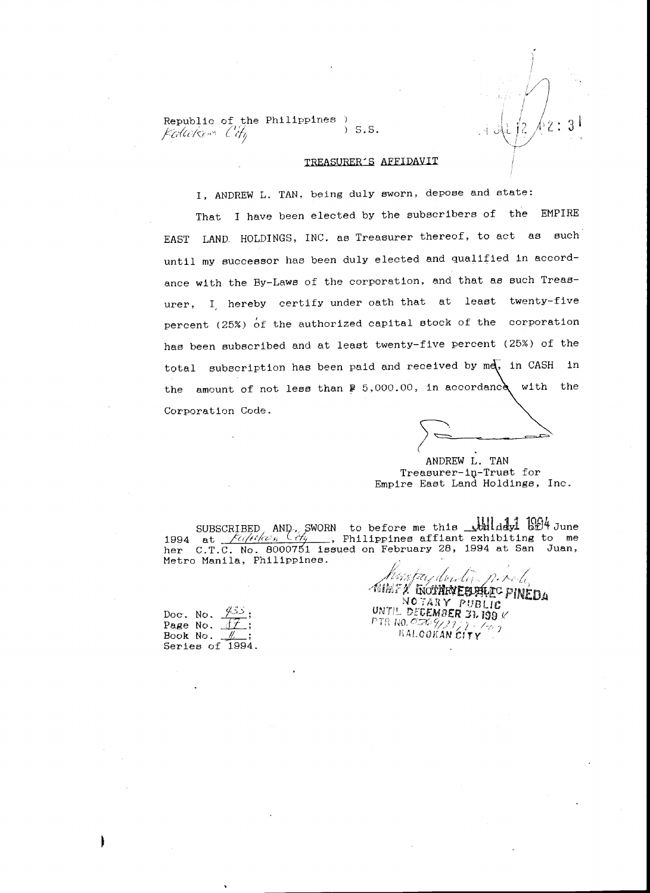Republic of the Philippines  $K$ colco/ $\zeta$ <sub>c</sub>  $\sim$   $C$   $t$ <sub>b</sub> s.s.

# TREASURER'S AFFIDAVIT

I, ANDREW L. TAN, being duly sworn, depose and state:

That I have been elected by the subscribers of the EMPIRE EAST LAND HOLDINGS, INC. as Treasurer thereof, to act as such until my successor has been duly elected and qualified in accordance with the By-Laws of the corporation, and that as such Treasurer, I. hereby certify under oath that at least twenty-five percent (25%) *bt* the authorized capital stock of the corporation has been subscribed and at least twenty-five percent (25%) of the total subscription has been paid and received by md, in CASH in the amount of not less than  $\frac{1}{2}$  5,000.00, in accordance with the Corporation Code.

*I=* - ~=

 $\left\langle \phi, \psi' \right\rangle$ 

 $\int_{0}^{1}$   $\int_{1}^{2}$   $\int_{2}^{2}$  : *i/*  ~:...-/

3 I

ANDREW L. TAN Treasurer-iQ-Trust for Empire East Land Holdings, Inc.

SUBSCRIBED AND, SWORN to before me this **Julialy1 GE4 June**<br>1994 at *filiting* (*by* , Philippines affiant exhibiting to me her C.T.C. No. 8000751 issued on February 28, 1994 at San Juan,<br>Metro Manila, Philippines.<br>Attributed for the first of the problem. Metro Manila, Philippines.

• ,, ~ ,,.. <:: t;:{ ~/o';f!!l.trikt~ .wt.: lC r,:mm:-o •• ~ i,~lf.r.e,;: *r·* **u'tr** ..~:li.t~:~t.~IW. r U1.&;;. J-~

Doc. No.  $\frac{\sqrt{33}}{12}$ ; Page No. <u>*<sup>17</sup>*<br>Post</u> *N*<sub>2</sub> Book No. *\_JL\_;*  Series of 1994.

 $N$ O.TARY PUBLIC !JNT!!.. DECEMBER *:n* 199 V **PTR NO. 0569/2211**  $\hbox{KALOOKAN}$  City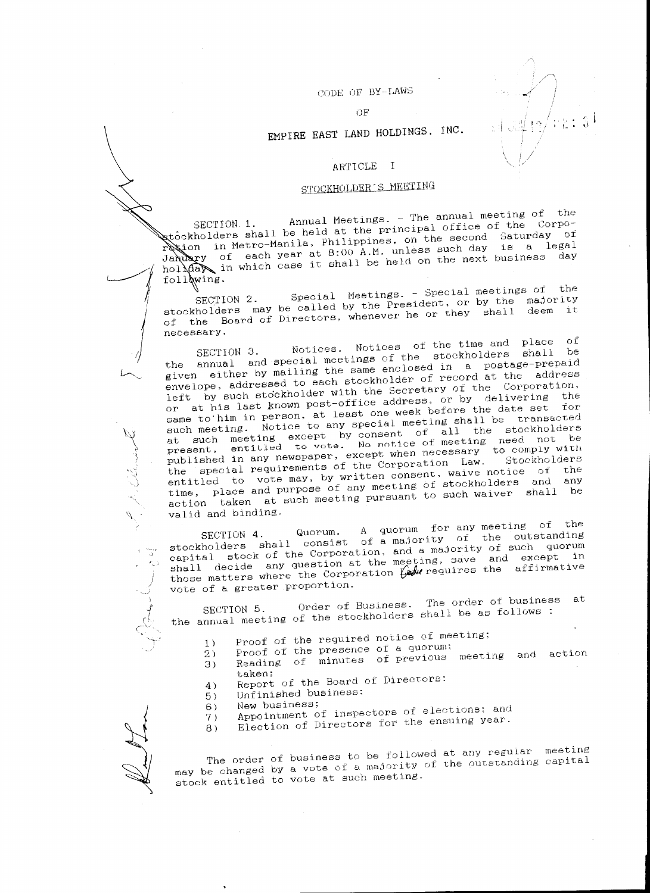# CODE OF BY-LAWS

-./

 $\langle \sigma/\nu_L \rangle \colon \mathbb{S}^4.$ 

#### OF

# EMPIRE EAST LAND HOLDINGS, INC.

# ARTICLE I

# STOCKHOLDER'S MEETING

 $\alpha$  3  $\alpha$  3 annual Meetings. - The annual meeting of the theorem  $\cdot$ . to the lders shall be held at the principal office of the day.  $\frac{1}{2}$  . Mothom Manila, Philippines, on the second  $\frac{3}{2}$  aturday of  $\frac{3}{2}$  $\frac{1}{2}$  each year at 8:00 A.M. unless such day is a legal which case it shall be held on the next business day

stockholders may be called by the Freshueno, they shall deem it<br>of the Board of Directors, whenever he or they shall deem it<br>necessary.  $\frac{1}{2}$   $\frac{1}{2}$   $\frac{1}{2}$   $\frac{1}{2}$   $\frac{1}{2}$   $\frac{1}{2}$   $\frac{1}{2}$   $\frac{1}{2}$   $\frac{1}{2}$   $\frac{1}{2}$   $\frac{1}{2}$   $\frac{1}{2}$   $\frac{1}{2}$   $\frac{1}{2}$   $\frac{1}{2}$   $\frac{1}{2}$   $\frac{1}{2}$   $\frac{1}{2}$   $\frac{1}{2}$   $\frac{1}{2}$   $\frac{1}{2}$   $\frac{1}{2}$  stockholders may be called by the President, or by the magnetic may be called by the President, or by the magnetic necessary.

 $S_{\text{ECTIOM}}$  3. Notices. Notices of the time and place of  $t_{\text{total}}$  and special meetings of the stockholders shall be shall be shall be shall be shall be shall be shall be shall be shall be shall be shall be shall be shall be shall be shall be shall be shall be shall be shall be given either by mailing the same enclosed in a postage-prepaid envelope, addressed to each stockholder of record at the address left by such stockholder with the Secretary of the Corporation, or at his last known post-office address, or by delivering the same to him in person, at least one week before the date set for such meeting. Notice to any special meeting shall be transacted such meeting. Notice to any special meeting shall be transacT-ed at  $\frac{1}{2}$  such meeting except by consent of all the stockholders be  $p_{\text{current}}$  entitled to vote. No notice of meeting incompletion published in any newspaper, except when necessary to comply with<br>the special requirements of the Corporation Law. Stockholders  $t_{\text{tot}}$  requirements of the Corporation Law. Stockholders the  $\frac{1}{2}$  is the vote may, by written consent. Waive notice or  $\frac{1}{2}$  and  $\frac{1}{2}$ time, place and purpose of any meeting of stockholders and he action taken at such meeting pursuant to such waiver shall be valid and binding.

SECTION 4. Quorum. A quorum for any meeting of the stockholders shall consist of a majority of the outstanding  $s_{\text{total}}$  shall consist of a majority of the outstanding stockhological stock of the Corporation, and a majority of such a magnetic  $\frac{1}{2}$ shall decide any question at the meeting, save and except in those matters where the Corporation Law requires the affirmative vote of a greater proportion.

Order of Business. The order of business at SECTION 5. Order of Business. the annual meeting of the stockholders shall be as follows.

- 1) Proof of the required notice of meeting;<br>2) Proof of the presence of a quorum;
	-
- 2) Proof of the presence of a quorum; 3) Reading of minutes of previous meeting and action
- taken;<br>4) Report of the Board of Directors:
- 5) Unfinished business;
- 

————————————————————

 $\int$ 

~~~~~~~~~~~~~

 $\, \varphi \,$  $\mathcal{L}$ 

> , . . , ,) J

'\

t.

 $-$ .

بند.<br>ل

j d

 $\mathcal{J}$ 

- 6) New business;<br>7) Appointment of inspectors of elections; and<br> $\frac{1}{2}$  are the eneuing vear.
- 8) Election of Directors for the ensuing year.

The order of business to be followed at any regular meeting may be changed by a vote of a majority of the outstanding capital stock entitled to vote at such meeting.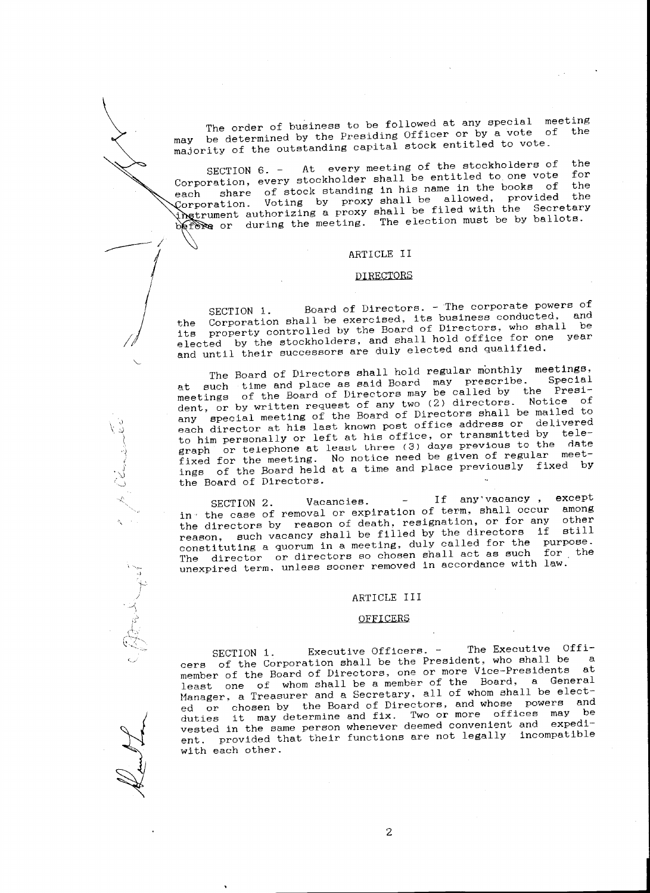The order of business to be followed at any special meeting may be determined by the Presiding Officer or by a vote of majority of the outstanding capital stock entitled to vote.

SECTION 6. - At every meeting of the stockholders of the Corporation, every stockholder shall be entitled to one vote for<br>the books of the share of stock standing in his name in the books of the each share of stock standing in his hame in the second<br>Corporation. Voting by proxy shall be allowed, provided instrument authorizing a proxy shall be filed with the Secretary before or during the meeting. The election must be by ballots.

#### ARTICLE II

 $-1$ 

/ I

<sup>~</sup>

.)

 $\prec$ 

 $\cdot$  .

' *. ..)*   $\zeta$  $\tilde{\gamma}$ '1  $\sqrt{1}$ 

#### DIREQTORS

SECTION 1. Board of Directors. - The corporate powers of the Corporation shall be exercised, its business conducted, and property controlled by the Board of Directors, who shall be elected by the stockholders, and shall hold office for one year and until their successors are duly elected and qualified.

The Board of Directors shall hold regular monthly meetings, at such time and place as said Board may prescribe. Special neetings of the Board of Directors may be called by the President, or by written request of any two (2) directors. Notice of any special meeting of the Board of Directors shall be mailed to each director at his last known post office address or delivered to him personally or left at his office, or transmitted by telegraph or telephone at least three *(3)* days previous to the date fixed for the meeting. No notice need be given of regular meetings of the Board held at a time and place previously fixed by the Board of Directors.

SECTION 2. Vacancies. - If any'vacancy , except in· the case of removal or expiration of term, shall occur among the directors by reason of death, resignation, or for any other reason, such vacancy shall be filled by the directors if still constituting a quorum in a meeting, duly called for the purpose. The director or directors so chosen shall act as such for the unexpired term. unless sooner removed in accordance with law.

#### ARTICLE III

#### OFFICERS

SECTION 1. Executive Officers. - The Executive Officers of the Corporation shall be the President, who shall be a member of the Board of Directors, one or more Vice-Presidents at least one of whom shall be a member of the Board, a General Manager, a Treasurer and a Secretary, all of whom shall be elected or chosen by the Board of Directors, and whose powers and duties it may determine and fix. Two or more offices may be vested in the same person whenever deemed convenient and expedient. provided that their functions are not legally incompatible with each other.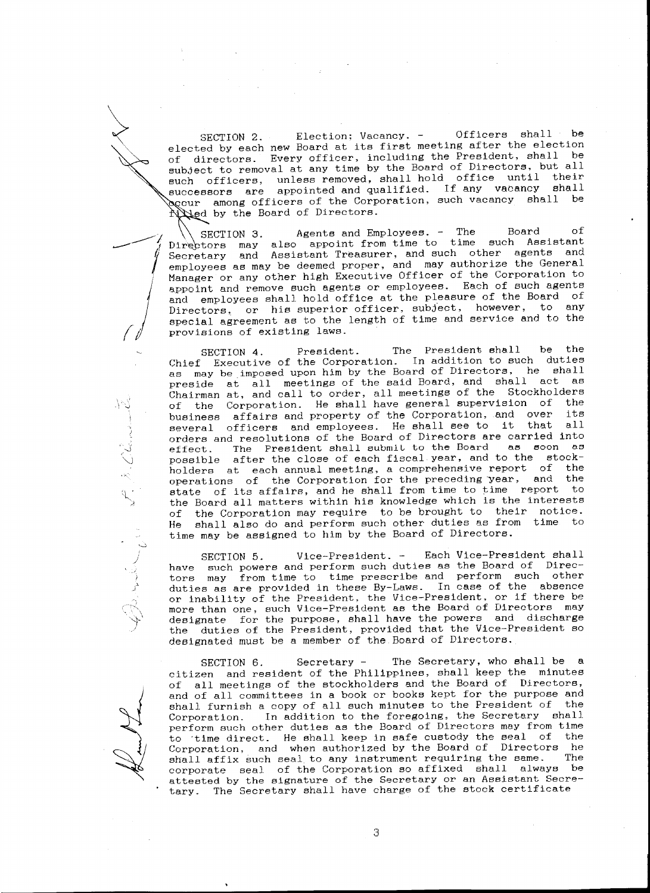SECTION 2. Election; Vacancy. - Officers shall be elected by each new Board at its first meeting after the election of directors. Every officer, including the President, shall be subject to removal at any time by the Board of Directors, but all such officers, unless removed, shall hold office until their successors are appointed and qualified. If any vacancy shall **e**cur among officers of the Corporation, such vacancy shall be illed by the Board of Directors.

<sup>~</sup>

 $\int$ 

*()* 

:..;

J *'"-.)* 

> $\Delta$ i /

ر<br>.<br>{

 $-$  d Agents and Employees. - The Board of may also appoint from time to time such Assistant and Assistant Treasurer, and such other agents and employees as may be deemed proper, and may authorize the General Manager or any other high Executive Officer of the Corporation to appoint and remove such agents or employees. Each of such agents and employees shall hold office at the pleasure of the Board of Directors, or his superior officer, subject, however, to any special agreement as to the length of time and service and to the provisions of existing laws.

> SECTION 4. President. The President shall be the Chief Executive of the Corporation. In addition to such duties as may be imposed upon him by the Board of Directors, he shall preside at all meetings of the said Board, and shall act as Chairman at, and call to order, all meetings of the Stockholders of the Corporation. He shall have general supervision of the business affairs and property of the Corporation, and over its<br>several officers, and employees. He shall see to it that all several officers and employees. He shall see to it orders and resolutions of the Board of Directors are carried into effect. The President shall submit to the Board as soon as possible after the close of each fiscal year, and to the stockholders at each annual meeting, a comprehensive report of the operations of the Corporation for the preceding year, and the state of its affairs, and he shall from time to time report to the Board all matters within his knowledge which is the interests of the Corporation may require to be brought to their notice. He shall also do and perform such other duties as from time to time may be assigned to him by the Board of Directors .

> SECTION 5. Vice-President. - Each Vice-President shall have such powers and perform such duties as the Board of Directors may from time to time prescribe and perform such other duties as are provided in these By-Laws. In case of the absence or inability of the President, the Vice-President, or if there be more than one, such Vice-President as the Board of Directors may designate for the purpose, shall have the powers and discharge the duties of the President, provided that the Vice-President so designated must be a member of the Board of Directors.

 $\sim$  attested by the signature of the Secretary or an Assistant Secre-SECTION 6. Secretary - The Secretary, who shall be a citizen and resident of the Philippines, shall keep the minutes of all meetings of the stockholders and the Board of Directors, and of all committees in a book or books kept for the purpose and shall furnish a copy of all such minutes to the President of the Corporation. In addition to the foregoing, the Secretary shall perform such other duties as the Board of Directors may from time to ·time direct. He shall keep in safe custody the seal of the Corporation, and when authorized by the Board of Directors he<br>shall affix such seal to any instrument requiring the same. The shall affix such seal to any instrument requiring the same. corporate seal of the Corporation so affixed shall always be tary. The Secretary shall have charge of the stock certificate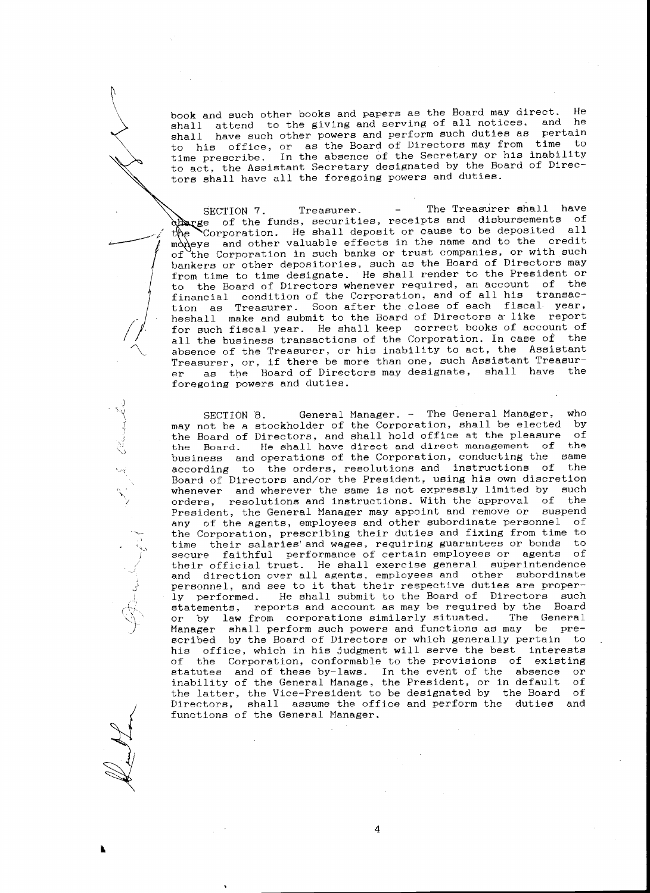book and such other books and papers as the Board may direct. He shall attend to the giving and serving of all notices, and he shall have such other powers and perform such duties as pertain to his office, or as the Board of Directors may from time to time prescribe. In the absence of the Secretary or his inability to act, the Assistant Secretary designated by the Board of Directors shall have all the foregoing powers and duties.

of SECTION 7. Treasurer. - The Treasurer shall have otherge of the funds, securities, receipts and disbursements of Corporation. He shall deposit or cause to be deposited all m $\lambda$  and other valuable effects in the name and to the credit the Corporation in such banks or trust companies, or with such bankers or other depositories, such as the Board of Directors may from time to time designate. He shall render to the President or to the Board of Directors whenever required, an account of the financial condition of the Corporation, and of all his transaction as Treasurer. Soon after the close of each fiscal year, heshall make and submit to the Board of Directors a like report for such fiscal year. He shall keep correct books of account of all the business transactions of the Corporation. In case of the absence of the Treasurer, or his inability to act, the Assistant Treasurer, or, if there be more than one, such Assistant Treasurer as the Board of Directors may designate, shall have the foregoing powers and duties.

SECTION 8. General Manager. - The General Manager, who may not be a stockholder of the Corporation, shall be elected by the Board of Directors, and shall hold office at the pleasure of the Board. He shall have direct and direct management of the husiness and operations of the Corporation. conducting the same business and operations of the Corporation, conducting the according to the orders, resolutions and instructions of the Board of Directors and/or the President, using his own discretion whenever and wherever the same is not expressly limited by such orders, resolutions and instructions. With the approval of the President, the General Manager may appoint and remove or suspend any of the agents, employees and other subordinate personnel of the Corporation, prescribing their duties and fixing from time to time their salaries' and wages, requiring guarantees or bonds to secure faithful performance of certain employees or agents of their official trust. He shall exercise general superintendence and direction over all agents, employees and other subordinate personnel, and see to it that their respective duties are properly performed. He shall submit to the Board of Directors such statements, reports and account as may be required by the Board or by law from corporations similarly situated. The General Manager shall perform such powers and functions as may be prescribed by the Board of Directors or which generally pertain to his office, which in his judgment will serve the best interests of the Corporation, conformable to the provisions of existing statutes and of these by-laws. In the event of the absence or inability of the General Manage, the President, or in default of the latter, the Vice-President to be designated by the Board of Directors, shall assume the office and perform the duties and functions of the General Manager.

4

..

~~~~~~~~~~~~~~

*;)* 

 $\Delta$ 

1.\_,

)  $\mathcal{L}$ 

 $\cdot$ I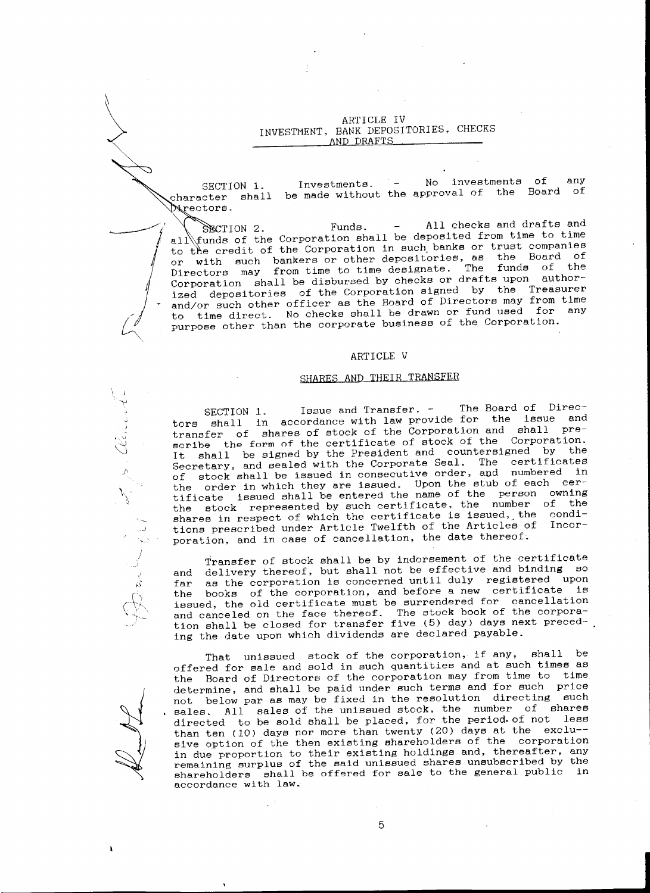ARTICLE IV INVESTMENT. BANK DEPOSITORIES, CHECKS AND DRAFTS

<sup>~</sup>

 $\mathcal{L}$ "'

d -

.<br>" "

*)'* 

 $\mathcal{N}_{\mathcal{F}}$ 

I I

.<br>أما

Investments. - No investments of anY SECTION 1. be made without the approval of the Board of  $character$  shall  $N$  rectors.

 $\mathcal{I}$  $\overline{\phantom{0}}$ SECTION 2. Funds. - All checks and drafts and all tunds of the Corporation shall be deposited from time to time to the credit of the Corporation in such banks or trust companies or with such bankers or other depositories, as the Board of Directors may from time to time designate. The funds of the Corporation shall be disbursed by checks or drafts upon authorized depositories of the Corporation signed by the Treasurer and/or such other officer as the Board of Directors may from time to time direct. No checks shall be drawn or fund used for any purpose other than the corporate business of the Corporation.

# ARTICLE V

# SHARES AND THEIR TRANSFER

SECTION 1. Issue and Transfer. - The Board of Directors shall in accordance with law provide for the issue and transfer of shares of stock of the Corporation and shall prescribe the form of the certificate of stock of the Corporation. It shall be signed by the President and countersigned by the Secretary, and sealed with the Corporate Seal. The certificates of stock shall be issued in consecutive order, apd numbered in the order in which they are issued. Upon the stub of each certificate issued shall be entered the name of the person owning the stock represented by such certificate, the number of the shares in respect of which the certificate is issued, the conditions prescribed under Article Twelfth of the Articles of Incorporation, and in case of cancellation, the date thereof.

Transfer of stock shall be by indorsement of the certificate and delivery thereof, but shall not be effective and binding so far as the corporation is concerned until duly registered upon the books of the corporation, and before a new certificate is issued, the old certificate must be surrendered for cancellation and canceled on the face thereof. The stock book of the corporation shall be closed for transfer five (5) day) days next preceding the date upon which dividends are declared payable.

<sup>~</sup> That unissued stock of the corporation, if any, shall be offered for sale and sold in such quantities and at such times as the Board of Directors of the corporation may from time to time determine, and shall be paid under such terms and for such price not below par as may be fixed in the resolution directing such sales. All sales of the unissued stock, the number of shares directed to be sold shall be placed, for the period.of not less than ten (10) days nor more than twenty (20) days at the exclu- sive option of the then existing shareholders of the corporation in due proportion to their existing holdings and, thereafter, any remaining surplus of the said unissued shares unsubscribed by the shareholders shall be offered for sale to the general public in accordance with law.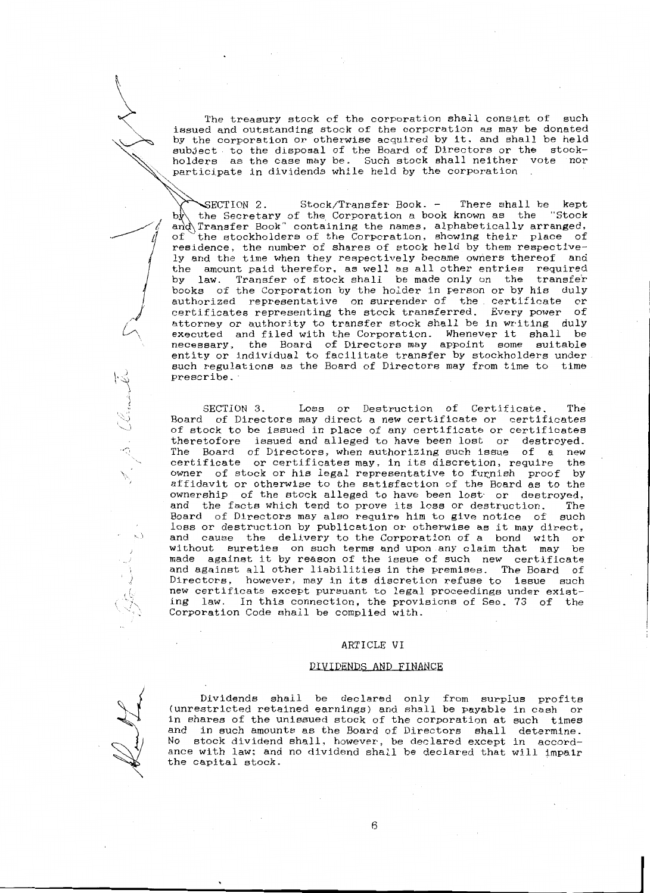<sup>~</sup> subject to the disposal of the Board of Directors or the stock-The treasury stock of the corporation shall consist of such issued and outstanding stock of the corporation as may be donated by the corporation or otherwise acquired by it, and shall be held holders as the case may be. Such stock shall neither vote nor participate in dividends while held by the corporation

> of -SECTION 2. Stock/Transfer Book. - There shall be kept the Secretary of the Corporation a book known as the and Transfer Book" containing the names, alphabetically arranged, the stockholders of the Corporation, showing their place of residence, the number of shares of stock held by them respectively and the time when they respectively became owners thereof and the amount paid therefor, as well as all other entries required by law. Transfer of stock shall be made only on the transfer books of the Corporation by the holder in person or by his duly authorized representative on surrender of the certificate or certificates representing the stock transferred. Every power of attorney or authority to transfer stock shall be in writing duly executed and filed with the Corporation. Whenever it shall be necessary, the Board of Directors may appoint some suitable entity or individual to facilitate transfer by stockholders under such regulations as the Board of Directors may from time to time prescribe. ·

> SECTION 3. Loss or Destruction of Certificate. The Board of Directors may direct a new certificate or certificates of stock to be issued in place of any certificate or certificates theretofore issued and alleged to have been lost or destroyed. The Board of Directors, when authorizing such issue of a new certificate or certificates may, in its discretion, require the owner of stock or his legal representative to furnish proof by affidavit or otherwise to the satisfaction of the Board as to the ownership of the stock alleged to have been lost· or destroyed, and the facts which tend to prove its loss or destruction. The Board of Directors may also require him to give notice of such loss or destruction by publication or otherwise as it may direct, and cause the delivery to the Corporation of a bond with or without sureties on such terms and upon any claim that may be made against it by reason of the issue of such new certificate and against all other liabilities in the premises. The Board of Directors, however, may in its discretion refuse to issue such new certificate except pursuant to legal proceedings under existing law. In this connection, the provisions of Sec. 73 of the Corporation Code shall be complied with.

# ARTICLE VI

### DIVIDENDS AND FINANCE

 $\begin{matrix} \searrow \end{matrix}$ 

h

 $~\cdot$   $~\cdot$   $~\cdot$   $~\cdot$ 

' Š l

 $\sim$ 

\.

 $\sim$ 

.I

Dividends shall be declared only from surplus profits (unrestricted retained earnings) and shall be payable in cash or in shares of the unissued stock of the corporation at such times and in such amounts as the Board of Directors shall determine. No stock dividend shall, however, be declared except in accordance with law; and no dividend shall be declared that will tmpair the capital stock.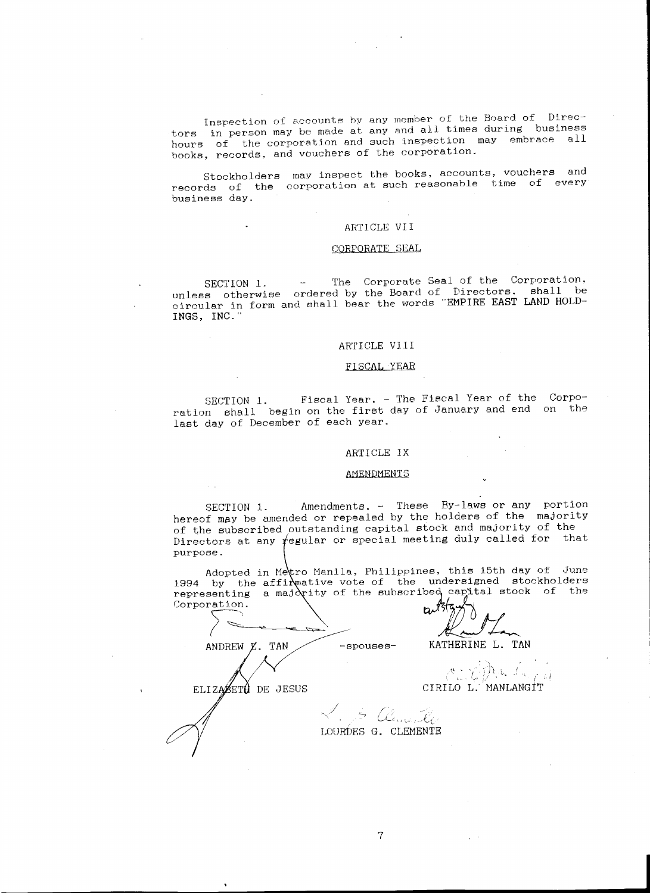Inspection of accounts by any member of the Board of Directors in person may be made at any and all times during business hours of the corporation and such inspection may embrace all books, records, and vouchers of the corporation.

Stockholders may inspect the books. accounts, vouchers and records of the corporation at such reasonable time of every business day.

## ARTICLE VII

# CORPORATE SEAL

SECTION 1. - The Corporate Seal of the Corporation. unless otherwise ordered by the Board of Directors. shall be circular in form and shall bear the words "EMPIRE EAST LAND HOLD-INGS, INC."

# ARTICLE VI II

SECTION 1. Fiscal Year. - The Fiscal Year of the Corporation shall begin on the first day of January and end on the last day of December of each year.

# ARTICLE IX

### AMENDMENTS

SECTION 1. Amendments. - These By-laws or any portion hereof may be amended or repealed by the holders of the majority of the subscribed outstanding capital stock and majority of the Directors at any *regular* or special meeting duly called for that purpose.

Adopted in Metro Manila, Philippines, this 15th day of June 1994 by the affi $\lambda$  pative vote of the undersigned stockholders representing a majority of the subscribed capital stock of the Corporation.

b٨  $\blacksquare$ 

-spouses- KATHERINE L. TAN

 $\sim$   $\sim$   $\sim$  $\mathcal{L} \mathcal{P}$  , i.e. CIRILO L. MANLANGiT

ELIZABETÀ DE JESUS

ANDREW *X*. TAN

 $\swarrow$  . ..\_, ~- *<sup>r</sup>*~-' , ~ ..\_\_\_, { LOURDES G. CLEMENTE

7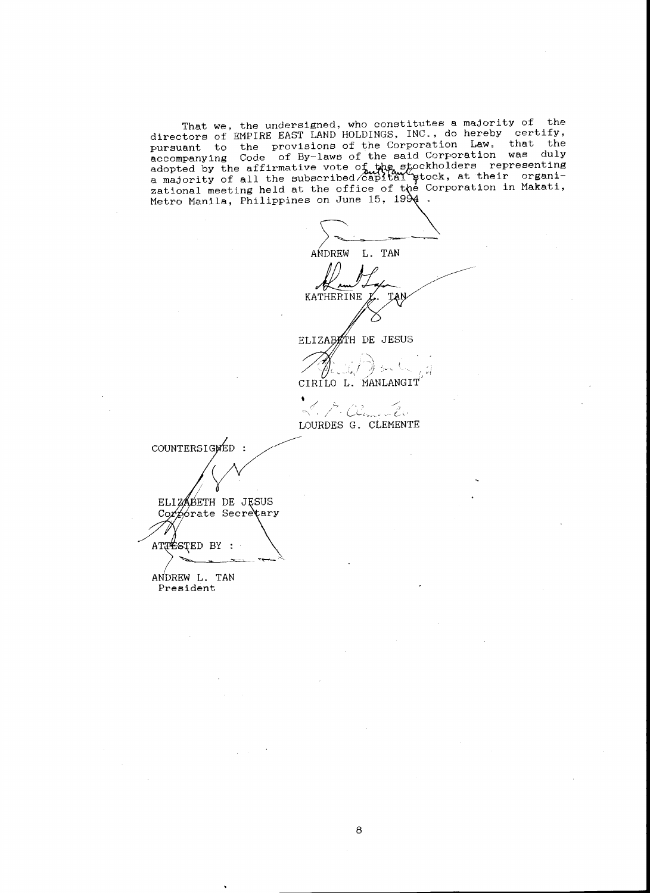That we, the undersigned, who constitutes a majority of the<br>directors of EMPIRE EAST LAND HOLDINGS, INC., do hereby certify, pursuant to the provisions of the Corporation Law, that the<br>accompanying Code of By-laws of the said Corporation was duly<br>adopted by the affirmative vote of the stockholders representing<br>a majority of all the subscribed ex Metro Manila, Philippines on June 15, 1994.

L. TAN ANDREW KATHERINE ELIZABETH DE JESUS i (jers⊾

CIRILO L. MANLANGIT

9. Climente  $\stackrel{\mathcal{J}}{\sim}$  ,  $\not$ LOURDES G. CLEMENTE

COUNTERSIGNED : ELIZABETH DE JESUS Corporate Secrectary ATTESTED BY :

ANDREW L. TAN President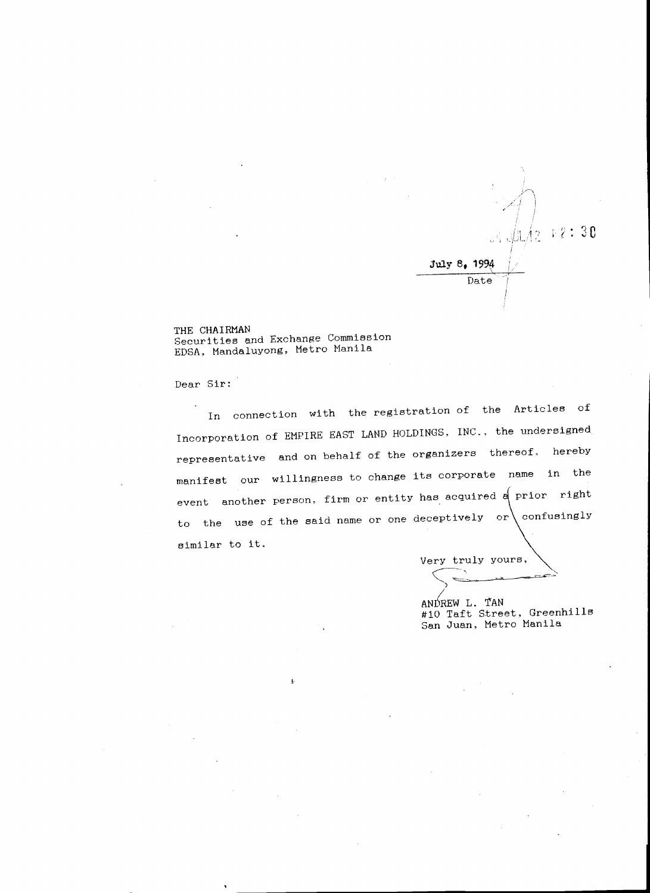

THE CHAIRMAN Securities and Exchange Commission EDSA, Mandaluyong, Metro Manila

į.,

Dear Sir:

In connection with the registration of the Articles of Incorporation of EMPIRE EAST LAND HOLDINGS, INC., the undersigned representative and on behalf of the organizers thereof, hereby manifest our willingness to change its corporate name in the event another person, firm or entity has acquired a prior right to the use of the said name or one deceptively or confusingly similar to it.

Very truly yours,  $\diagdown$   $\Longleftrightarrow$   $\diagdown$ 

ANDREW L. TAN #10 Taft Street, Greenhills San Juan, Metro Manila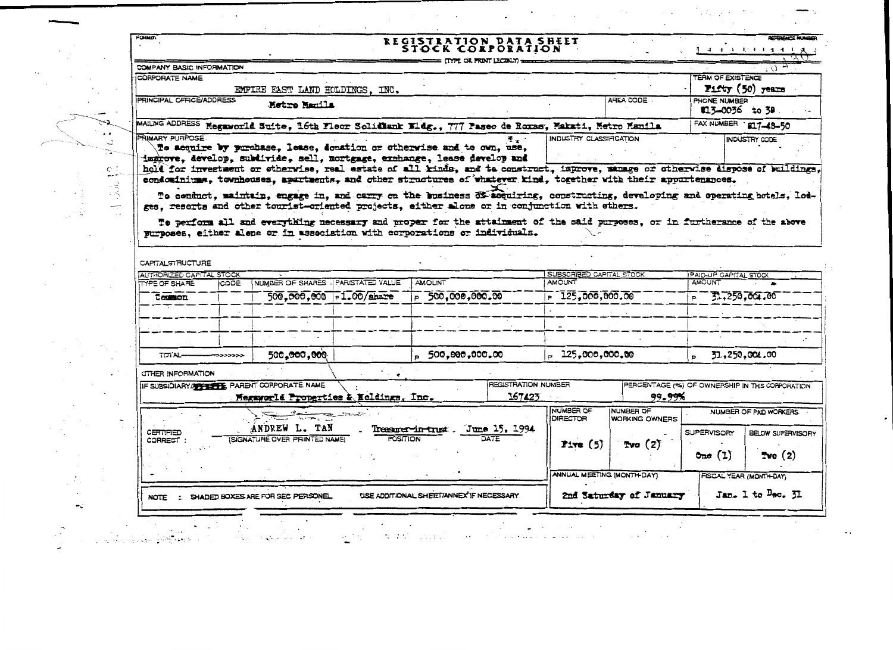|                   | FORM 01                   |                                 |                                              |                           | REGISTRATION DATA SHEET<br>STOCK CORPORATION                                                                                                                                                                                                                                                                                                                                                             |                                 |                                    |                                 | REFERENCE MUMBE<br>生年间 电电压电子电压器                                                |
|-------------------|---------------------------|---------------------------------|----------------------------------------------|---------------------------|----------------------------------------------------------------------------------------------------------------------------------------------------------------------------------------------------------------------------------------------------------------------------------------------------------------------------------------------------------------------------------------------------------|---------------------------------|------------------------------------|---------------------------------|--------------------------------------------------------------------------------|
|                   | COMPANY BASIC INFORMATION |                                 |                                              |                           | <b>ITYPE OR PRINT LEGIBLY)</b>                                                                                                                                                                                                                                                                                                                                                                           |                                 |                                    |                                 | $Q_{\rm H}$                                                                    |
|                   | CORPORATE NAME            |                                 |                                              |                           |                                                                                                                                                                                                                                                                                                                                                                                                          |                                 |                                    | TERM OF EXISTENCE               |                                                                                |
|                   |                           | EMPIRE EAST LAND HOLDINGS. INC. |                                              |                           |                                                                                                                                                                                                                                                                                                                                                                                                          |                                 | Fifty (50) years                   |                                 |                                                                                |
|                   | PRINCIPAL OFFICE/ADDRESS  |                                 | Metro Manila                                 |                           |                                                                                                                                                                                                                                                                                                                                                                                                          |                                 | AREA CODE .                        | PHONE NUMBER<br>\$13-0036 to 38 |                                                                                |
|                   |                           |                                 |                                              |                           | MAILING ADDRESS Megaworld Suite, 16th Fleor Solidlank Bldg., 777 Paseo de Roxas, Makati, Metro Manila                                                                                                                                                                                                                                                                                                    |                                 |                                    | FAX NUMBER 1917-48-50           |                                                                                |
| τă<br>$\subseteq$ | PRIMARY PURPOSE           |                                 |                                              |                           | To acquire by purchase, lease, donation or otherwise and to own, use,<br>improve, develop, subdivide, sell, mortgage, exchange, lease develop and<br>hold for investment or otherwise, real estate of all kinds, and to construct, improve, manage or otherwise dispose of buildings.<br>condominiums, townhouses, apartments, and other structures of whatever kind, together with their appurtenances. | INDUSTRY CLASSIFICATION         |                                    |                                 | INDUSTRY CODE                                                                  |
|                   |                           |                                 |                                              |                           | To perform all and everything necessary and proper for the attainment of the said purposes, or in furtherance of the above<br>purposes, either alone or in association with corporations or individuals.                                                                                                                                                                                                 |                                 |                                    |                                 |                                                                                |
|                   | CAPITAL STRUCTURE         |                                 |                                              |                           |                                                                                                                                                                                                                                                                                                                                                                                                          |                                 |                                    |                                 |                                                                                |
|                   | AUTHORIZED CAPITAL STOCK  |                                 |                                              |                           |                                                                                                                                                                                                                                                                                                                                                                                                          | <b>SUBSCRIBED CAPITAL STOCK</b> |                                    | PAID-UP CAPITAL STOCK           |                                                                                |
|                   | TYPE OF SHARE             | <b>CODE</b>                     | NUMBER OF SHARES - PARISTATED VALUE          |                           | <b>AMOUNT</b>                                                                                                                                                                                                                                                                                                                                                                                            | <b>AMOUNT</b>                   |                                    | AMOUNT                          |                                                                                |
|                   | Common                    |                                 |                                              | 500.000.000   pl.00/share | $\overline{500,000,000,00}$                                                                                                                                                                                                                                                                                                                                                                              | $-125,000,000,00$               |                                    | $F = 51,250,001,00$             |                                                                                |
|                   |                           |                                 |                                              |                           |                                                                                                                                                                                                                                                                                                                                                                                                          |                                 |                                    |                                 |                                                                                |
|                   |                           |                                 |                                              |                           |                                                                                                                                                                                                                                                                                                                                                                                                          |                                 |                                    |                                 |                                                                                |
|                   |                           |                                 |                                              |                           |                                                                                                                                                                                                                                                                                                                                                                                                          |                                 |                                    |                                 |                                                                                |
|                   | TOTAL-                    | >>>>>>>                         |                                              |                           |                                                                                                                                                                                                                                                                                                                                                                                                          |                                 |                                    |                                 |                                                                                |
|                   |                           |                                 | 500 <b>,000,00</b> 0                         |                           | - 500,000,000.00                                                                                                                                                                                                                                                                                                                                                                                         | $= 125,000,000,00$              |                                    |                                 | 31,250,004.00                                                                  |
|                   | OTHER INFORMATION         |                                 |                                              |                           |                                                                                                                                                                                                                                                                                                                                                                                                          |                                 |                                    |                                 |                                                                                |
|                   |                           |                                 | IF SUBSIDIARY/METERY & PARENT CORPORATE NAME |                           | REGISTRATION NUMBER                                                                                                                                                                                                                                                                                                                                                                                      |                                 | 99.99%                             |                                 |                                                                                |
|                   |                           |                                 | Megaworld Properties & Ecldings, Inc.        |                           | 167423                                                                                                                                                                                                                                                                                                                                                                                                   |                                 |                                    |                                 |                                                                                |
|                   |                           |                                 |                                              |                           |                                                                                                                                                                                                                                                                                                                                                                                                          | <b>NUMBER OF</b><br>DIRECTOR    | NUMBER OF<br><b>WORKING OWNERS</b> |                                 | NUMBER OF PAID WORKERS                                                         |
|                   | CERTIFIED                 |                                 | ANDREW L. TAN                                |                           | Treasurer-in-trust . June 15, 1994                                                                                                                                                                                                                                                                                                                                                                       |                                 |                                    | <b>SUPERVISORY</b>              |                                                                                |
|                   | CORRECT :                 |                                 | (SIGNATURE OVER PRINTED NAME)                | <b>POSITION</b>           |                                                                                                                                                                                                                                                                                                                                                                                                          | First(5)                        | Tva (2)                            |                                 |                                                                                |
|                   |                           |                                 |                                              |                           |                                                                                                                                                                                                                                                                                                                                                                                                          |                                 |                                    | One $(1)$                       | PERCENTAGE (%) OF OWNERSHIP IN THIS CORPORATION<br>BELOW SUPERVISORY<br>Two(2) |
|                   |                           |                                 |                                              |                           |                                                                                                                                                                                                                                                                                                                                                                                                          | ANNUAL MEETING (MONTH-DAY)      |                                    |                                 | <b>FISCAL YEAR (MONTH-DAY)</b>                                                 |

 $\sim$   $\sim$ 

 $\mathcal{L}_{\rm{eff}}$